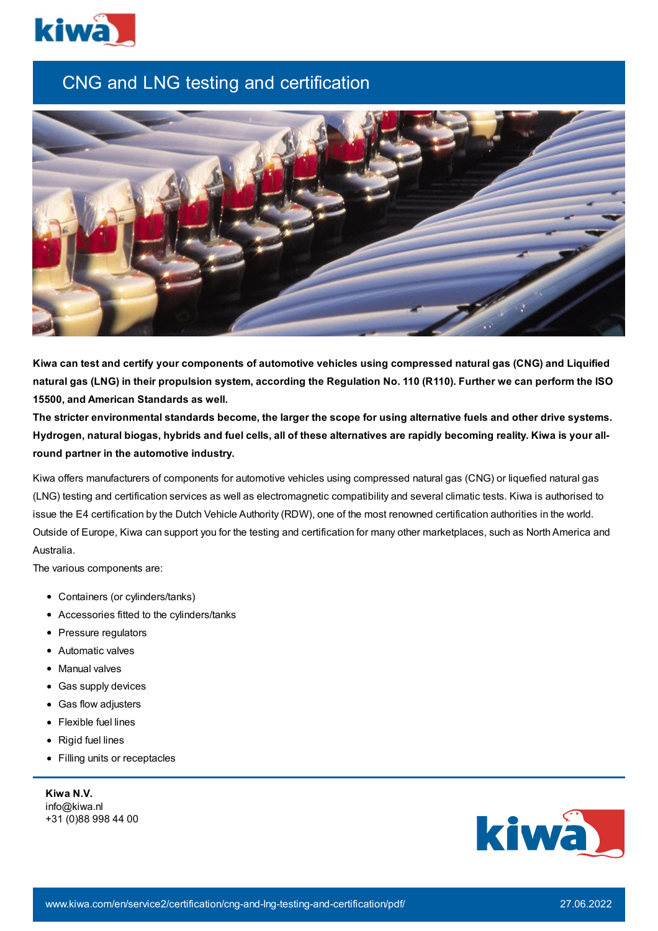

## CNG and LNG testing and certification



Kiwa can test and certify your components of automotive vehicles using compressed natural gas (CNG) and Liquified natural gas (LNG) in their propulsion system, according the Regulation No. 110 (R110). Further we can perform the ISO **15500, and American Standards as well.**

The stricter environmental standards become, the larger the scope for using alternative fuels and other drive systems. Hydrogen, natural biogas, hybrids and fuel cells, all of these alternatives are rapidly becoming reality. Kiwa is your all**round partner in the automotive industry.**

Kiwa offers manufacturers of components for automotive vehicles using compressed natural gas (CNG) or liquefied natural gas (LNG) testing and certification services as well as electromagnetic compatibility and several climatic tests. Kiwa is authorised to issue the E4 certification by the Dutch Vehicle Authority (RDW), one of the most renowned certification authorities in the world. Outside of Europe, Kiwa can support you for the testing and certification for many other marketplaces, such as North America and Australia.

The various components are:

- Containers (or cylinders/tanks)
- Accessories fitted to the cylinders/tanks
- Pressure regulators
- Automatic valves
- Manual valves
- Gas supply devices
- Gas flow adjusters
- Flexible fuel lines
- Rigid fuel lines
- Filling units or receptacles

**Kiwa N.V.** info@kiwa.nl +31 (0)88 998 44 00